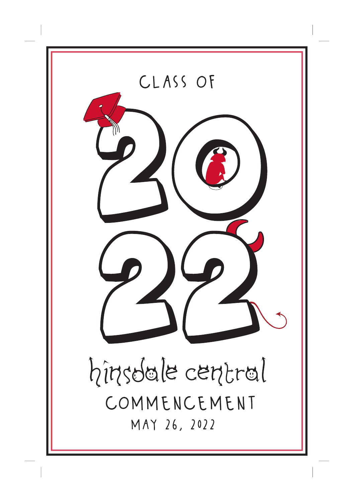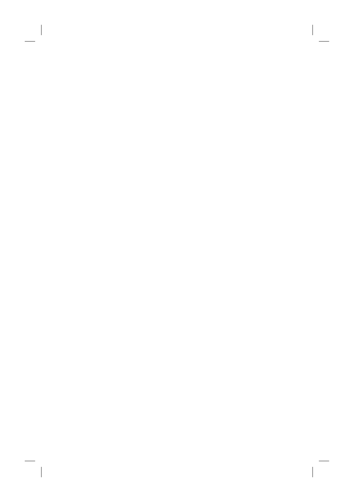$\begin{array}{c} \hline \end{array}$  $\frac{1}{2}$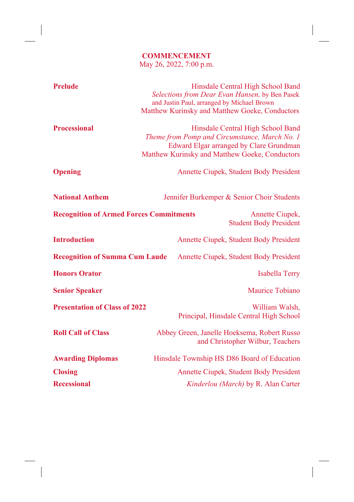# **COMMENCEMENT**

May 26, 2022, 7:00 p.m.

| <b>Prelude</b>                                 | Hinsdale Central High School Band<br>Selections from Dear Evan Hansen, by Ben Pasek<br>and Justin Paul, arranged by Michael Brown<br>Matthew Kurinsky and Matthew Goeke, Conductors |  |                                                                                                                                                                                 |
|------------------------------------------------|-------------------------------------------------------------------------------------------------------------------------------------------------------------------------------------|--|---------------------------------------------------------------------------------------------------------------------------------------------------------------------------------|
| <b>Processional</b>                            |                                                                                                                                                                                     |  | Hinsdale Central High School Band<br>Theme from Pomp and Circumstance, March No. 1<br>Edward Elgar arranged by Clare Grundman<br>Matthew Kurinsky and Matthew Goeke, Conductors |
| <b>Opening</b>                                 |                                                                                                                                                                                     |  | Annette Ciupek, Student Body President                                                                                                                                          |
| <b>National Anthem</b>                         |                                                                                                                                                                                     |  | Jennifer Burkemper & Senior Choir Students                                                                                                                                      |
| <b>Recognition of Armed Forces Commitments</b> |                                                                                                                                                                                     |  | Annette Ciupek,<br><b>Student Body President</b>                                                                                                                                |
| <b>Introduction</b>                            |                                                                                                                                                                                     |  | Annette Ciupek, Student Body President                                                                                                                                          |
| <b>Recognition of Summa Cum Laude</b>          |                                                                                                                                                                                     |  | Annette Ciupek, Student Body President                                                                                                                                          |
| <b>Honors Orator</b>                           |                                                                                                                                                                                     |  | Isabella Terry                                                                                                                                                                  |
| <b>Senior Speaker</b>                          |                                                                                                                                                                                     |  | Maurice Tobiano                                                                                                                                                                 |
| <b>Presentation of Class of 2022</b>           |                                                                                                                                                                                     |  | William Walsh,<br>Principal, Hinsdale Central High School                                                                                                                       |
| <b>Roll Call of Class</b>                      |                                                                                                                                                                                     |  | Abbey Green, Janelle Hoeksema, Robert Russo<br>and Christopher Wilbur, Teachers                                                                                                 |
| <b>Awarding Diplomas</b>                       | Hinsdale Township HS D86 Board of Education                                                                                                                                         |  |                                                                                                                                                                                 |
| <b>Closing</b>                                 | Annette Ciupek, Student Body President                                                                                                                                              |  |                                                                                                                                                                                 |
| <b>Recessional</b>                             |                                                                                                                                                                                     |  | Kinderlou (March) by R. Alan Carter                                                                                                                                             |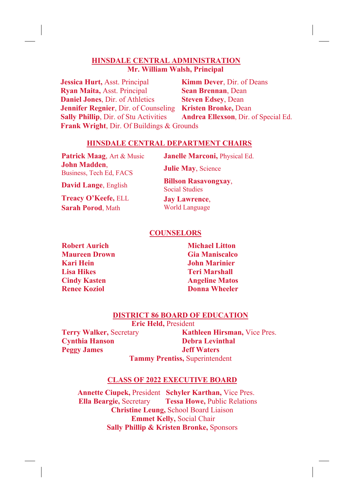### **HINSDALE CENTRAL ADMINISTRATION Mr. William Walsh, Principal**

**Jessica Hurt,** Asst. Principal **Kimm Dever**, Dir. of Deans **Ryan Maita,** Asst. Principal **Sean Brennan**, Dean **Daniel Jones**, Dir. of Athletics **Steven Edsey**, Dean **Jennifer Regnier**, Dir. of Counseling **Kristen Bronke,** Dean **Sally Phillip**, Dir. of Stu Activities **Andrea Ellexson**, Dir. of Special Ed. **Frank Wright**, Dir. Of Buildings & Grounds

## **HINSDALE CENTRAL DEPARTMENT CHAIRS**

**Patrick Maag**, Art & Music **Janelle Marconi,** Physical Ed. **John Madden**, **Julie May**, Science<br>Business, Tech Ed, FACS **Julie May**, Science

**Treacy O'Keefe,** ELL **Jay Lawrence**, **Sarah Porod**, Math World Language

**David Lange**, English **Billson Rasavongxay**, Social Studies

#### **COUNSELORS**

**Robert Aurich Michael Litton Maureen Drown Gia Maniscalco Kari Hein John Marinier Lisa Hikes Teri Marshall Cindy Kasten Angeline Matos**

**Renee Koziol Donna Wheeler** 

### **DISTRICT 86 BOARD OF EDUCATION**

 **Eric Held,** President

**Peggy James Jeff Waters**

**Terry Walker, Secretary <b>Kathleen Hirsman,** Vice Pres. **Cynthia Hanson Debra Levinthal Tammy Prentiss,** Superintendent

#### **CLASS OF 2022 EXECUTIVE BOARD**

**Annette Ciupek,** President **Schyler Karthan,** Vice Pres.  **Ella Beargie,** Secretary **Tessa Howe,** Public Relations **Christine Leung,** School Board Liaison **Emmet Kelly,** Social Chair **Sally Phillip & Kristen Bronke,** Sponsors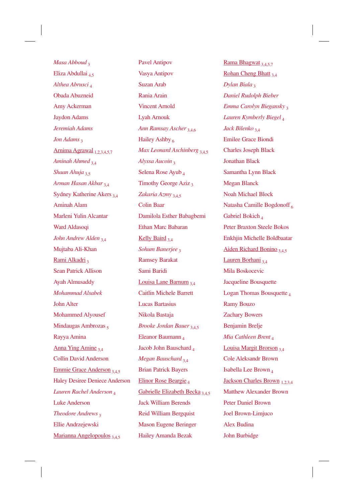*Masa Abboud*<sub>3</sub> Eliza Abdullai  $_4$ 5 *Althea Abrusci*<sup>4</sup> Obada Abuzneid Amy Ackerman Jaydon Adams *Jeremiah Adams Jon Adams*<sub>3</sub> Arnima Agrawal 1,2,3,4,5,7 *Aminah Ahmed* 34 *Shaan Ahuja* 3.5 *Arman Hasan Akbar* 34 Sydney Katherine Akers  $34$ Aminah Alam Marleni Yulin Alcantar Ward Aldasoqi *John Andrew Alden* 3.4 Mujtaba Ali-Khan Rami Alkadri <sub>3</sub> Sean Patrick Allison Ayah Almusaddy *Mohammad Alsabek* John Alter Mohammed Alyousef Mindaugas Ambrozas 5 Rayya Amina Anna Ying Amine 34 Collin David Anderson Emmie Grace Anderson 3,4,5 Haley Desiree Deniece Anderson *Lauren Rachel Anderson*<sup>4</sup> Luke Anderson **Theodore Andrews**<sub>3</sub> Ellie Andrzejewski Marianna Angelopoulos 3,4,5

Pavel Antipov Vasya Antipov Suzan Arab Rania Arain Vincent Arnold Lyah Arnouk *Ann Ramsay Ascher* 3,4,6 Hailey Ashby  $6$ *Max Leonard Aschinberg* 3,4,5 *Alyssa Aucoin* <sup>3</sup> Selena Rose Ayub<sub>4</sub> Timothy George Aziz 3 *Zakaria Azmy* 3,4,5 Colin Baar Damilola Esther Babagbemi Ethan Marc Babaran Kelly Baird  $_{3,4}$ *Sohum Banerjee*<sub>3</sub> Ramsey Barakat Sami Baridi Louisa Lane Barnum 34 Caitlin Michele Barrett Lucas Bartasius Nikola Bastaja *Brooke Jordan Bauer* 3,4,5 Eleanor Baumann 4 Jacob John Bauschard 4 *Megan Bauschard* 3.4 Brian Patrick Bayers Elinor Rose Beargie <sup>4</sup> Gabrielle Elizabeth Becka 345 Jack William Berends Reid William Bergquist Mason Eugene Beringer Hailey Amanda Bezak

Rama Bhagwat 3,4,5,7 Rohan Cheng Bhatt<sub>3,4</sub> *Dylan Biala*<sup>3</sup> *Daniel Rudolph Bieber Emma Carolyn Biegansky*<sup>3</sup> *Lauren Kymberly Biegel*<sup>4</sup> *Jack Bilenko* 34 Emilee Grace Biondi Charles Joseph Black Jonathan Black Samantha Lynn Black Megan Blanck Noah Michael Block Natasha Camille Bogdonoff<sub>6</sub> Gabriel Bokich<sub>4</sub> Peter Braxton Steele Bokos Enkhjin Michelle Boldbaatar Aiden Richard Bonino 3,4,5 Lauren Borhani 34 Mila Boskocevic Jacqueline Bousquette Logan Thomas Bousquette 4 Ramy Bouzo Zachary Bowers Benjamin Brelje *Mia Cathleen Brent*<sub>4</sub> Louisa Margit Brorson 3,4 Cole Aleksandr Brown Isabella Lee Brown<sub>4</sub> Jackson Charles Brown 1,2,3,4 Matthew Alexander Brown Peter Daniel Brown Joel Brown-Limjuco Alex Budina John Burbidge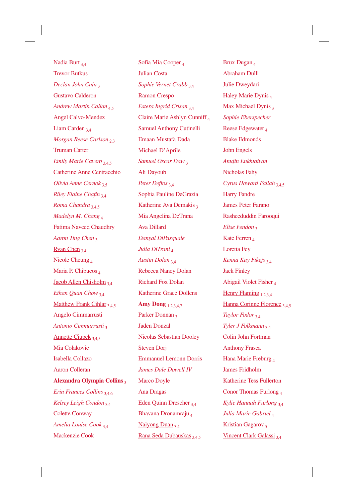Nadia Burt 34 Trevor Butkus *Declan John Cain* 3 Gustavo Calderon *Andrew Martin Callan* 4,5 Angel Calvo-Mendez Liam Carden 34 *Morgan Reese Carlson*<sub>2.3</sub> Truman Carter *Emily Marie Cavero* 345 Catherine Anne Centracchio *Olivia Anne Cernok* 3,5 *Riley Elaine Chafin* 3.4 *Roma Chandra* <sub>3.4.5</sub> *Madelyn M. Chang*<sup>4</sup> Fatima Naveed Chaudhry Aaron Ting Chen<sub>3</sub> Ryan Chen  $34$ Nicole Cheung <sup>4</sup> Maria P. Chibucos <sub>4</sub> Jacob Allen Chisholm 34 *Ethan Quan Chow* 34 Matthew Frank Cihlar 3.4.5 Angelo Cimmarrusti *Antonio Cimmarrusti*<sup>3</sup> Annette Ciupek 3,4,5 Mia Colakovic Isabella Collazo Aaron Colleran Alexandra Olympia Collins<sup>3</sup> *Erin Frances Collins* 3,4,6 *Kelsey Leigh Condon*<sub>34</sub> Colette Conway *Amelia Louise Cook* 3,4 Mackenzie Cook

Sofia Mia Cooper<sub>4</sub> Julian Costa *Sophie Vernet Crabb* 34 Ramon Crespo *Estera Ingrid Crisan* 3,4 Claire Marie Ashlyn Cunniff <sup>4</sup> Samuel Anthony Cutinelli Emaan Mustafa Dada Michael D'Aprile **Samuel Oscar Daw**<sub>3</sub> Ali Dayoub *Peter Deftos*<sup>34</sup> Sophia Pauline DeGrazia Katherine Ava Demakis 3 Mia Angelina DeTrana Ava Dillard *Danyal DiPasquale Julia DiTrani*<sup>4</sup> Austin Dolan<sub>34</sub> Rebecca Nancy Dolan Richard Fox Dolan Katherine Grace Dollens **Amy Dong** 1,2,3,4,7 Parker Donnan 3 Jaden Donzal Nicolas Sebastian Dooley Steven Dorj Emmanuel Lemonn Dorris *James Dale Dowell IV* Marco Doyle Ana Dragas Eden Quinn Drescher 3.4 Bhavana Dronamraju 4 Naiyong Duan 3,4 Rana Seda Dubauskas 3,4,5

Brux Dugan 4 Abraham Dulli Julie Dweydari Haley Marie Dynis <sup>4</sup> Max Michael Dynis<sub>3</sub> *Sophie Eberspecher* Reese Edgewater <sup>4</sup> Blake Edmonds John Engels *Anujin Enkhtaivan* Nicholas Fahy *Cyrus Howard Fallah* 345 Harry Fandre James Peter Farano Rasheeduddin Farooqui *Elise Fendon*<sub>3</sub> Kate Ferren<sub>4</sub> Loretta Fey *Kenna Kay Fikejs*<sup>34</sup> Jack Finley Abigail Violet Fisher <sup>4</sup> Henry Flaming 1,2,3,4 Hanna Corinne Florence 3.4.5 *Taylor Fodor* 3.4 *Tyler J Folkmann* 34 Colin John Fortman Anthony Frasca Hana Marie Freburg <sup>4</sup> James Fridholm Katherine Tess Fullerton Conor Thomas Furlong <sup>4</sup> *Kylie Hannah Furlong* 3.4 *Julia Marie Gabriel*<sub>4</sub> Kristian Gagarov 5 Vincent Clark Galassi 3,4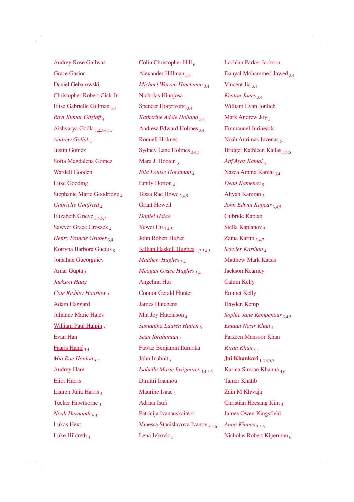Audrey Rose Gallwas Grace Gasior Daniel Gebarowski Christopher Robert Gick Jr Elise Gabrielle Gillman 3,4 *Ravi Kumar Gitzlaff* <sup>4</sup> Aishvarya Godla 1,2,3,4,5,7 **Andrew Goliak**<sub>3</sub> Justin Gomez Sofia Magdalena Gomez Wardell Gooden Luke Gooding Stephanie Marie Goodridge <sup>4</sup> *Gabrielle Gottfried*<sub>4</sub> Elizabeth Grieve 3,4,5,7 Sawyer Grace Groszek 4 *Henry Francis Gruber* 3.4 Kotryna Barbora Gucius Jonathan Gueorguiev Amar Gupta 3 *Jackson Haag Cate Richley Haarlow* Adam Haggard Julianne Marie Hales William Paul Halpin 3 Evan Han Faaris Hanif 34 *Mia Rae Hanlon* 34 Audrey Hare Eliot Harris Lauren Julia Harris <sub>4</sub> Tucker Hawthorne<sub>3</sub> *Noah Hernandez*<sub>3</sub> Lukas Hext Luke Hildreth<sub>4</sub>

Colin Christopher Hill Alexander Hillman  $34$ *Michael Warren Hinchman* 3,4 Nicholas Hinojosa Spencer Hogervorst 3.4 *Katherine Adele Holland* <sub>3.4</sub> Andrew Edward Holmes 3,4 Ronnell Holmes Sydney Lane Holmes 345 Mara J. Hooten  $3$ *Ella Louise Horstman* <sup>4</sup> Emily Horton  $_4$ Tessa Rae Howe 3,4,5 Grant Howell *Daniel Hsiao* Yuwei Hu 345 John Robert Huber Killian Haskell Hughes 1,2,3,4,5 *Matthew Hughes* 34 *Meagan Grace Hughes* <sub>3,4</sub> Angelina Hui Connor Gerald Hunter James Hutchens Mia Joy Hutchison<sub>4</sub> **Samantha Lauren Hutten**<sup>6</sup> *Sean Ibrahimian*<sup>4</sup> Fawaz Benjamin Ilumoka John Inabnit 3 *Isabella Marie Insignares* 3,4,5,6 Dimitri Ioannou Maurine Isaac 4 Adrian Isufi Patricija Ivanauskaite 4 Vanessa Stanislavova Ivanov 3,4,6 Lena Ivkovic  $<sub>5</sub>$ </sub>

Lachlan Parker Jackson Danyal Mohammed Jawed 3,4 Vincent Jia  $34$ *Keaton Jones*<sup>34</sup> William Evan Jonlich Mark Andrew Joy  $_3$ Emmanuel Jurineack Noah Aurimas Juzenas 5 Bridget Kathleen Kallas 3,5,6 *Atif Ayaz Kamal*<sup>4</sup> Nazea Amina Kamal 3.4 *Dean Kamenev* Aliyah Kamran <sup>3</sup> John Edwin Kapcar<sup>345</sup> Gilbride Kaplan Stella Kaplanov 5 Zaina Karim <sub>3,4,7</sub> *Schyler Karthan*<sup>4</sup> Matthew Mark Katsis Jackson Kearney Calum Kelly Emmet Kelly Hayden Kemp *Sophie Jane Kempenaar* 345 *Emaan Nasir Khan*<sup>4</sup> Farzeen Mansoor Khan *Kiran Khan* 34 **Jui Khankari** 1,2,3,5,7 Karina Simran Khanna <sub>4.6</sub> Tamer Khatib Zain M Khwaja Christian Heesang Kim  $_3$ James Owen Kingsfield *Anna Kinnas* 3,4,6 Nicholas Robert Kiperman 6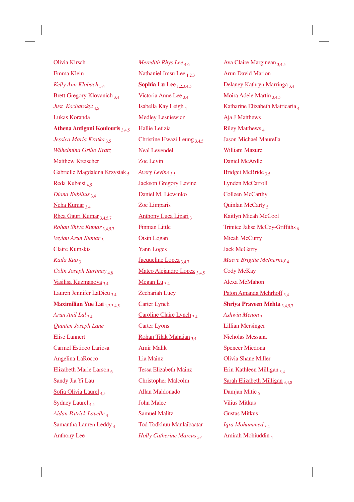Olivia Kirsch Emma Klein *Kelly Ann Klobach* 34 Brett Gregory Klovanich 34 Just Kochanskyt<sub>4.5</sub> Lukas Koranda **Athena Antigoni Koulouris** 3,4,5 *Jessica Maria Kratka* 3.5 *Wilhelmina Grillo Kratz* Matthew Kreischer Gabrielle Magdalena Krzysiak 5 Reda Kubaisi  $_4$ 5 *Diana Kubilius* 34 Neha Kumar 3.4 Rhea Gauri Kumar 3,4,5,7 *Rohan Shiva Kumar* 3,4,5,7 Veylan Arun Kumar<sub>3</sub> Claire Kumskis *Kaila Kuo*<sup>3</sup> *Colin Joseph Kurimay* 4,8 Vasilisa Kuzmanova 34 Lauren Jennifer LaDieu 34 **Maximilian Yue Lai** 1,2,3,4,5 *Arun Anil Lal* 34 *Quinten Joseph Lane* Elise Lannert Carmel Estioco Lariosa Angelina LaRocco Elizabeth Marie Larson 6 Sandy Jia Yi Lau Sofia Olivia Laurel  $_4$ 5 Sydney Laurel <sub>4,5</sub> *Aidan Patrick Lavelle*<sup>3</sup> Samantha Lauren Leddy <sup>4</sup> Anthony Lee

*Meredith Rhys Lee* <sub>46</sub> Nathaniel Imsu Lee 1.2,3 **Sophia Lu Lee** 12345 Victoria Anne Lee 34 Isabella Kay Leigh 4 Medley Lesniewicz Hallie Letizia Christine Hwazi Leung 3,4,5 Neal Levendel Zoe Levin Avery Levine<sub>3.5</sub> Jackson Gregory Levine Daniel M. Licwinko Zoe Limparis Anthony Luca Lipari<sub>3</sub> Finnian Little Oisin Logan Yann Loges Jacqueline Lopez 3,4,7 Mateo Alejandro Lopez 3,4,5 Megan Lu  $_{3,4}$ Zechariah Lucy Carter Lynch Caroline Claire Lynch 3,4 Carter Lyons Rohan Tilak Mahajan 3,4 Amir Malik Lia Mainz Tessa Elizabeth Mainz Christopher Malcolm Allan Maldonado John Malec Samuel Malitz Tod Todkhuu Manlaibaatar *Holly Catherine Marcus* 3,4

Ava Claire Marginean 3,4,5 Arun David Marion Delaney Kathryn Marringa 34 Moira Adele Martin 3,4,5 Katharine Elizabeth Matricaria <sup>4</sup> Aja J Matthews Riley Matthews <sup>4</sup> Jason Michael Maurella William Mazure Daniel McArdle Bridget McBride 3,5 Lynden McCarroll Colleen McCarthy Quinlan McCarty  $<sub>5</sub>$ </sub> Kaitlyn Micah McCool Trinitee Jalise McCoy-Griffiths 6 Micah McCurry Jack McGarry *Maeve Brigitte McInerney* <sup>4</sup> Cody McKay Alexa McMahon Paton Amanda Mehrhoff 34 **Shriya Praveen Mehta** 3,4,5,7 **Ashwin Menon**<sub>3</sub> Lillian Mersinger Nicholas Messana Spencer Miedona Olivia Shane Miller Erin Kathleen Milligan 3.4 Sarah Elizabeth Milligan  $3.4,8$ Damjan Mitic 5 Vilius Mitkus Gustas Mitkus *Iqra Mohammed* 34 Amirah Mohiuddin 4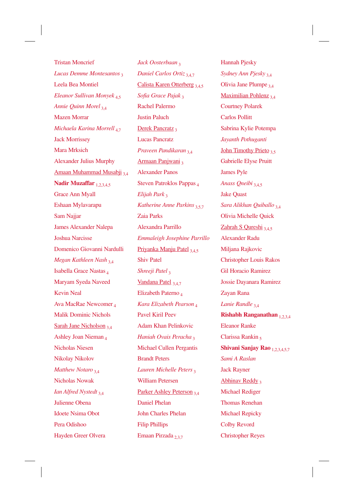Tristan Moncrief **Lucas Demme Montesantos**<sub>3</sub> Leela Bea Montiel *Eleanor Sullivan Monyek* 4,5 *Annie Quinn Morel* 3,4 Mazen Morrar *Michaela Karina Morrell* <sub>47</sub> Jack Morrissey Mara Mrksich Alexander Julius Murphy Amaan Muhammad Musabji 3,4 **Nadir Muzaffar** 1,2,3,4,5 Grace Ann Myall Eshaan Mylavarapu Sam Najjar James Alexander Nalepa Joshua Narcisse Domenico Giovanni Nardulli *Megan Kathleen Nash* 34 Isabella Grace Nastas <sup>4</sup> Maryam Syeda Naveed Kevin Neal Ava MacRae Newcomer <sup>4</sup> Malik Dominic Nichols Sarah Jane Nicholson 34 Ashley Joan Nieman 4 Nicholas Niesen Nikolay Nikolov *Matthew Notaro* 3,4 Nicholas Nowak *Ian Alfred Nystedt* 3.4 Julienne Obena Idoete Nsima Obot Pera Odishoo Hayden Greer Olvera

*Jack Oosterbaan*<sup>2</sup> *Daniel Carlos Ortiz* 3,4,7 Calista Karen Otterberg 345 **Sofia Grace Pajak** 3 Rachel Palermo Justin Paluch Derek Pancratz<sub>3</sub> Lucas Pancratz *Praveen Pandikaran* 34 Armaan Panjwani<sub>3</sub> Alexander Panos Steven Patroklos Pappas 4 *Elijah Park* <sup>3</sup> *Katherine Anne Parkins* 3,5,7 Zaia Parks Alexandra Parrillo *Emmaleigh Josephine Parrillo* Priyanka Manju Patel 345 Shiv Patel **Shreeji** Patel<sub>3</sub> Vandana Patel  $347$ Elizabeth Paterno<sub>4</sub> *Kara Elizabeth Pearson* <sup>4</sup> Pavel Kiril Peev Adam Khan Pelinkovic *Haniah Ovais Peracha* <sup>3</sup> Michael Cullen Pergantis Brandt Peters Lauren Michelle Peters<sup>3</sup> William Petersen Parker Ashley Peterson 34 Daniel Phelan John Charles Phelan Filip Phillips Emaan Pirzada 2,3,7

Hannah Pjesky Sydney Ann Pjesky<sup>34</sup> Olivia Jane Plumpe  $34$ Maximilian Pohlenz 34 Courtney Polarek Carlos Pollitt Sabrina Kylie Potempa *Jayanth Pothuganti* John Timothy Prieto  $35$ Gabrielle Elyse Pruitt James Pyle Anass Qneibi<sub>345</sub> Jake Quast *Sara Alikhan Quiballo* 3,4 Olivia Michelle Quick Zahrah S Qureshi 345 Alexander Radu Miljana Rajkovic Christopher Louis Rakos Gil Horacio Ramirez Jossie Dayanara Ramirez Zayan Rana Lanie Randle<sup>34</sup> **Rishabh Ranganathan** 1,2,3,4 Eleanor Ranke Clarissa Rankin 5 **Shivani Sanjay Rao** 1,2,3,4,5,7 *Sami A Raslan* Jack Rayner Abhinav Reddy  $3$ Michael Rediger Thomas Renehan Michael Repicky Colby Revord Christopher Reyes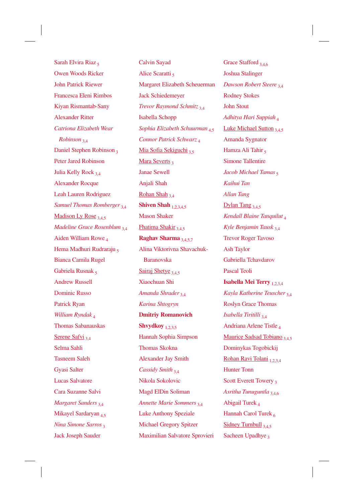Sarah Elvira Riaz 5 Owen Woods Ricker John Patrick Riewer Francesca Eleni Rimbos Kiyan Rismantab-Sany Alexander Ritter *Catriona Elizabeth Wear Robinson* 3,4 Daniel Stephen Robinson 3 Peter Jared Robinson Julia Kelly Rock 3.4 Alexander Rocque Leah Lauren Rodriguez *Samuel Thomas Romberger* 3.4 Madison Ly Rose 3,4,5 *Madeline Grace Rosenblum* 34 Aiden William Rowe 4 Hema Madhuri Rudraraju 5 Bianca Camila Rugel Gabriela Rusnak 5 Andrew Russell Dominic Russo Patrick Ryan *William Ryndak* <sup>4</sup> Thomas Sabanauskas Serene Safvi 3,4 Selma Sahli Tasneem Saleh Gyasi Salter Lucas Salvatore Cara Suzanne Salvi *Margaret Sanders* 34 Mikayel Sardaryan 45 *Nina Simone Sarros*<sub>3</sub> Jack Joseph Sauder

Calvin Sayad Alice Scaratti  $5$ Margaret Elizabeth Scheuerman Jack Schiedemeyer *Trevor Raymond Schmitz* 3,4 Isabella Schopp *Sophia Elizabeth Schuurman* 4,5 *Connor Patrick Schwarz*<sup>4</sup> Mia Sofia Sekiguchi 35 Mara Severts 3 Janae Sewell Anjali Shah Rohan Shah 34 **Shiven Shah** 1,2,3,4,5 Mason Shaker Fhatima Shakir 3,4,5 **Raghav Sharma** 3,4,5,7 Alina Viktorivna Shavachuk- Baranovska Sairaj Shetye 3,4,5 Xiaochuan Shi Amanda Shrader<sup>34</sup> *Karina Shtogryn* **Dmitriy Romanovich Shvydkoy**  $_{1,2,3,5}$ Hannah Sophia Simpson Thomas Skokna Alexander Jay Smith *Cassidy Smith* 3.4 Nikola Sokolovic Magd ElDin Soliman *Annette Marie Sommers* 3.4 Luke Anthony Speziale Michael Gregory Spitzer Maximilian Salvatore Sprovieri

Grace Stafford 346 Joshua Stalinger *Dawson Robert Steere* 34 Rodney Stokes John Stout *Adhitya Hari Suppiah* <sup>4</sup> Luke Michael Sutton 345 Amanda Sygnator Hamza Ali Tahir, Simone Tallentire *Jacob Michael Tamas*<sub>5</sub> *Kaihui Tan Allan Tang* Dylan Tang 3,4.5 *Kendall Blaine Tanquilut*<sub>4</sub> *Kyle Benjamin Tausk* 34 Trevor Roger Tavoso Ash Taylor Gabriella Tchavdarov Pascal Teoli **Isabella Mei Terry** 1,2,3,4 *Kayla Katherine Teuscher* 34 Roslyn Grace Thomas *Isabella Tiritilli* 3,4 Andriana Arlene Tistle 4 Maurice Sadsad Tobiano 3,4,5 Dominykas Togobickij Rohan Ravi Tolani 1234 Hunter Tonn Scott Everett Towery 3 *Asritha Tunuguntla* 3,4,6 Abigail Turek  $_4$ Hannah Carol Turek 6 Sidney Turnbull 3,4,5 Sacheen Upadhye<sub>3</sub>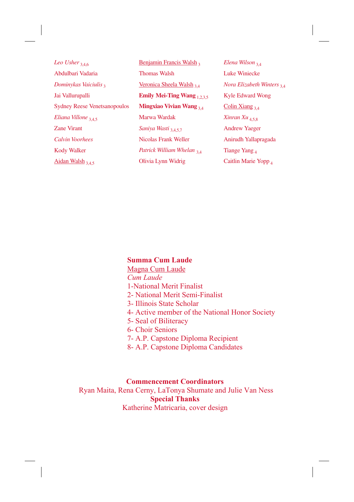| Leo Usher $_{3,4,6}$                | Benjamin Francis Walsh <sub>3</sub>     | Elena Wilson $_{3,4}$              |
|-------------------------------------|-----------------------------------------|------------------------------------|
| Abdulbari Vadaria                   | <b>Thomas Walsh</b>                     | <b>Luke Winiecke</b>               |
| Dominykas Vaiciulis $_3$            | Veronica Sheela Walsh <sub>3.4</sub>    | <i>Nora Elizabeth Winters</i> $34$ |
| Jai Vallurupalli                    | <b>Emily Mei-Ting Wang</b> $_{1,2,3,5}$ | <b>Kyle Edward Wong</b>            |
| <b>Sydney Reese Venetsanopoulos</b> | <b>Mingxiao Vivian Wang</b> 3.4         | Colin Xiang $_{3,4}$               |
| Eliana Villone 3,4,5                | Marwa Wardak                            | Xinran Xu $_{4.5.8}$               |
| <b>Zane Virant</b>                  | Saniya Wasti 3457                       | <b>Andrew Yaeger</b>               |
| <b>Calvin Voorhees</b>              | Nicolas Frank Weller                    | Anirudh Yallapragada               |
| <b>Kody Walker</b>                  | Patrick William Whelan 3.4              | Tiange Yang $_4$                   |
| Aidan Walsh $_{3,4,5}$              | Olivia Lynn Widrig                      | Caitlin Marie Yopp <sub>4</sub>    |
|                                     |                                         |                                    |

#### **Summa Cum Laude**

Magna Cum Laude *Cum Laude* 1-National Merit Finalist 2- National Merit Semi-Finalist 3- Illinois State Scholar 4- Active member of the National Honor Society 5- Seal of Biliteracy 6- Choir Seniors 7- A.P. Capstone Diploma Recipient 8- A.P. Capstone Diploma Candidates

# **Commencement Coordinators**

Ryan Maita, Rena Cerny, LaTonya Shumate and Julie Van Ness **Special Thanks** Katherine Matricaria, cover design